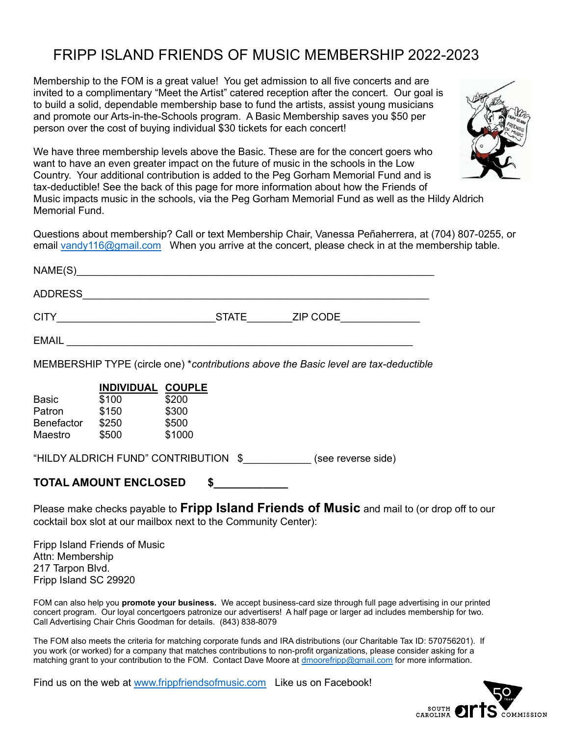## FRIPP ISLAND FRIENDS OF MUSIC MEMBERSHIP 2022-2023

Membership to the FOM is a great value! You get admission to all five concerts and are invited to a complimentary "Meet the Artist" catered reception after the concert. Our goal is to build a solid, dependable membership base to fund the artists, assist young musicians and promote our Arts-in-the-Schools program. A Basic Membership saves you \$50 per person over the cost of buying individual \$30 tickets for each concert!

We have three membership levels above the Basic. These are for the concert goers who want to have an even greater impact on the future of music in the schools in the Low Country. Your additional contribution is added to the Peg Gorham Memorial Fund and is tax-deductible! See the back of this page for more information about how the Friends of Music impacts music in the schools, via the Peg Gorham Memorial Fund as well as the Hildy Aldrich Memorial Fund.



Questions about membership? Call or text Membership Chair, Vanessa Peñaherrera, at (704) 807-0255, or email vandy116@gmail.com When you arrive at the concert, please check in at the membership table.

| NAME(S)        |              |          |
|----------------|--------------|----------|
| <b>ADDRESS</b> |              |          |
| <b>CITY</b>    | <b>STATE</b> | ZIP CODE |
| <b>EMAIL</b>   |              |          |

MEMBERSHIP TYPE (circle one) \*contributions above the Basic level are tax-deductible

|                   | <b>INDIVIDUAL</b> | <b>COUPLE</b> |
|-------------------|-------------------|---------------|
| <b>Basic</b>      | \$100             | \$200         |
| Patron            | \$150             | \$300         |
| <b>Benefactor</b> | \$250             | \$500         |
| Maestro           | \$500             | \$1000        |

"HILDY ALDRICH FUND" CONTRIBUTION \$\_\_\_\_\_\_\_\_\_\_\_\_ (see reverse side)

#### TOTAL AMOUNT ENCLOSED \$

Please make checks payable to Fripp Island Friends of Music and mail to (or drop off to our cocktail box slot at our mailbox next to the Community Center):

Fripp Island Friends of Music Attn: Membership 217 Tarpon Blvd. Fripp Island SC 29920

FOM can also help you promote your business. We accept business-card size through full page advertising in our printed concert program. Our loyal concertgoers patronize our advertisers! A half page or larger ad includes membership for two. Call Advertising Chair Chris Goodman for details. (843) 838-8079

The FOM also meets the criteria for matching corporate funds and IRA distributions (our Charitable Tax ID: 570756201). If you work (or worked) for a company that matches contributions to non-profit organizations, please consider asking for a matching grant to your contribution to the FOM. Contact Dave Moore at dmoorefripp@gmail.com for more information.

Find us on the web at www.frippfriendsofmusic.com Like us on Facebook!